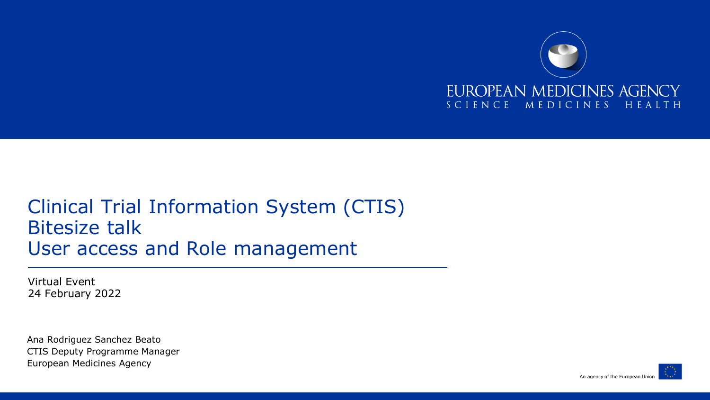

## Clinical Trial Information System (CTIS) Bitesize talk User access and Role management

Virtual Event 24 February 2022

Ana Rodriguez Sanchez Beato CTIS Deputy Programme Manager European Medicines Agency

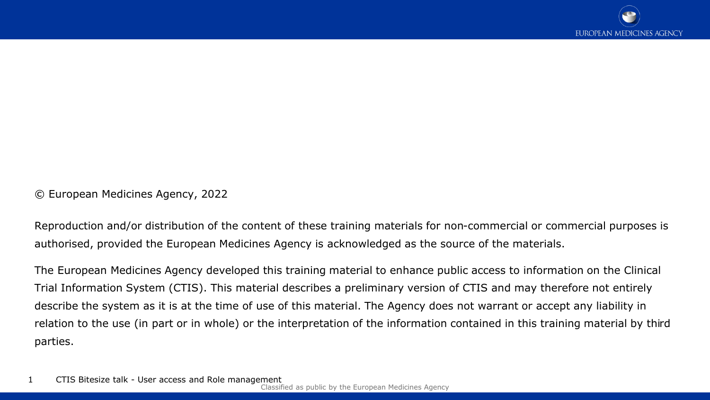© European Medicines Agency, 2022

Reproduction and/or distribution of the content of these training materials for non-commercial or commercial purposes is authorised, provided the European Medicines Agency is acknowledged as the source of the materials.

The European Medicines Agency developed this training material to enhance public access to information on the Clinical Trial Information System (CTIS). This material describes a preliminary version of CTIS and may therefore not entirely describe the system as it is at the time of use of this material. The Agency does not warrant or accept any liability in relation to the use (in part or in whole) or the interpretation of the information contained in this training material by third parties.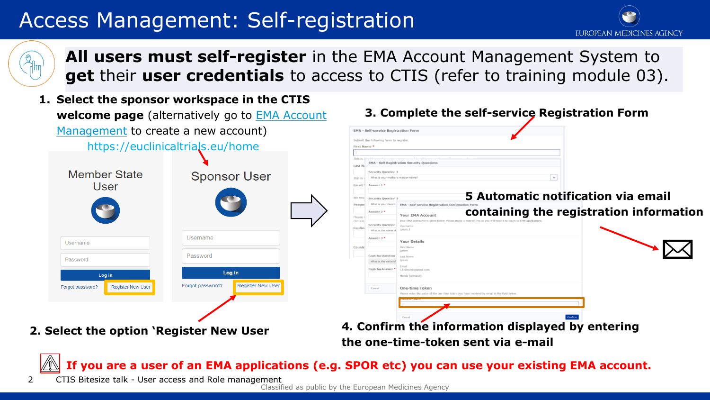# Access Management: Self-registration





**All users must self-register** in the EMA Account Management System to **get** their **user credentials** to access to CTIS (refer to training module 03).

**1. Select the sponsor workspace in the CTIS welcome page** [\(alternatively go to EMA Account](https://register.ema.europa.eu/identityiq/home.html) Management to create a new account)

https://euclinicaltrials.eu/home

| <b>Member State</b><br>User                  | <b>Sponsor User</b>                          |
|----------------------------------------------|----------------------------------------------|
| Username                                     | Username                                     |
| Password                                     | Password                                     |
| Log in                                       | Log in                                       |
| <b>Register New User</b><br>Forgot password? | <b>Register New User</b><br>Forgot password? |
|                                              |                                              |

- **EMA Self-service Registration Forn** Submit the following form to reals First Name **EMA - Self Registration Security Questions** Last N Security Question This is What is your mother's maiden na Email **5 Automatic notification via email**  What is your favorite **FMA - Self-service Registration Confli containing the registration information Your FMA Account Security Ques** Confir What is the name Answer 3 \* **Your Details** First Name Captcha Questio What is the value of Captcha Answer \* Mobile Continnal One-time Token Cancel
- **2. Select the option 'Register New User 4. Confirm the information displayed by entering the one-time-token sent via e-mail**

**If you are a user of an EMA applications (e.g. SPOR etc) you can use your existing EMA account.**

2 CTIS Bitesize talk - User access and Role management

Classified as public by the European Medicines Agency

**3. Complete the self-service Registration Form**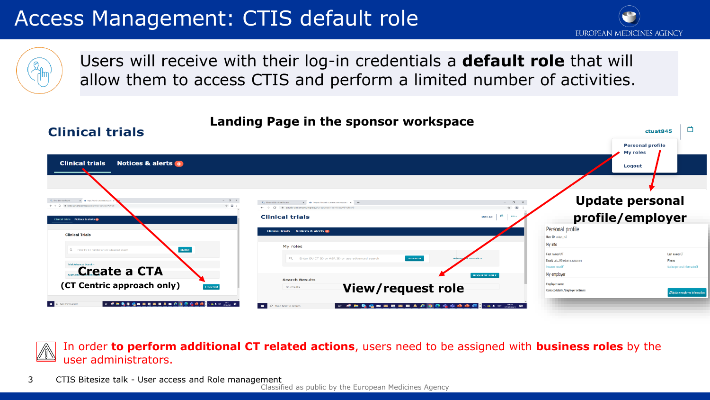# Access Management: CTIS default role



ctuat845



**Clinical trials** 

#### Users will receive with their log-in credentials a **default role** that will allow them to access CTIS and perform a limited number of activities.

#### **Landing Page in the sponsor workspace**

**Personal profile** My roles **Clinical trials** Notices & alerts o Logout **Update personal profile/employer Clinical trials UAT CT** Notices & alerts Personal profile **Clinical Trials** User ID: unisys\_m3 My info My roles First name: UAT Last name: CT Email: uat.ct9@ext.ema.europa.r **Standard Profit Create a CTA** My employe **Search Results (CT Centric approach only)** Employer name **View/request role** Contact details /Employer addres P 3pe here to search  $\blacksquare$ Type here to searc **GRAMMARS** 

In order **to perform additional CT related actions**, users need to be assigned with **business roles** by the user administrators.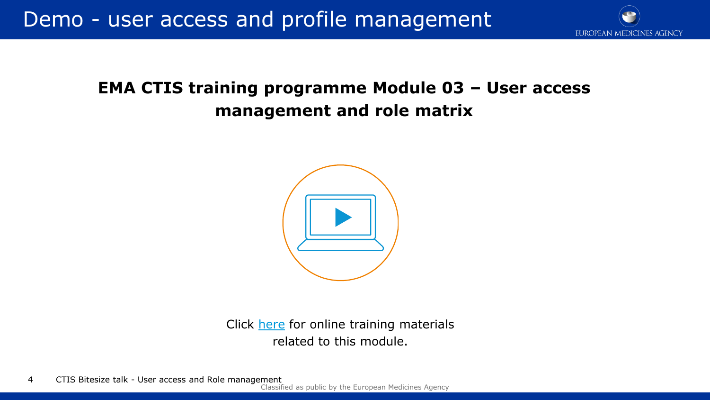

## **EMA CTIS training programme Module 03 – User access management and role matrix**



Click [here](https://www.ema.europa.eu/en/human-regulatory/research-development/clinical-trials/clinical-trials-information-system-ctis-online-modular-training-programme) for online training materials related to this module.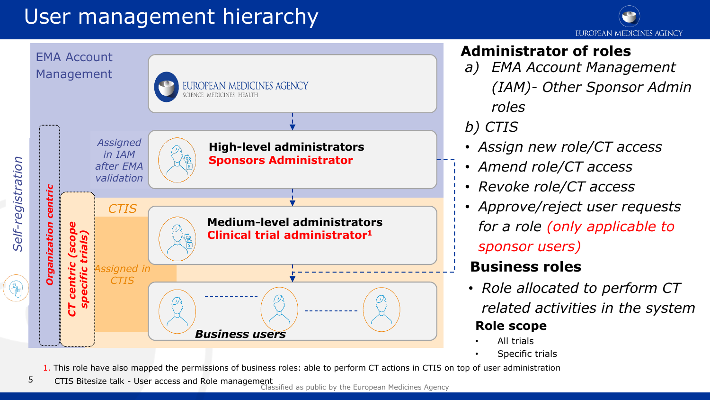# User management hierarchy





#### **Administrator of roles**

*a) EMA Account Management (IAM)- Other Sponsor Admin roles*

#### *b) CTIS*

- *Assign new role/CT access*
- *Amend role/CT access*
- *Revoke role/CT access*
- *Approve/reject user requests for a role (only applicable to sponsor users)*

#### **Business roles**

- *Role allocated to perform CT related activities in the system* **Role scope**
	- All trials
	- Specific trials

1. This role have also mapped the permissions of business roles: able to perform CT actions in CTIS on top of user administration

5 CTIS Bitesize talk - User access and Role management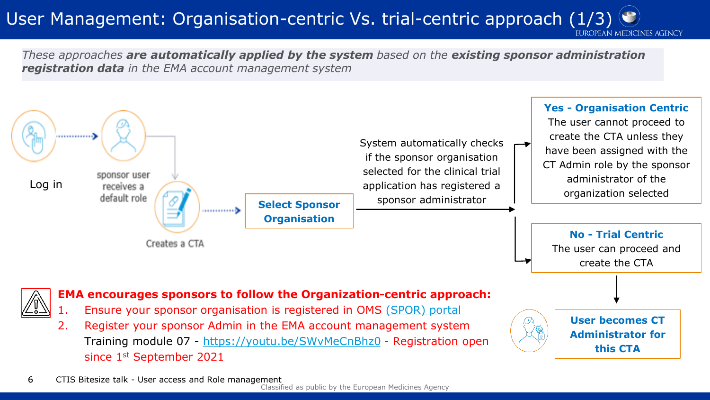## User Management: Organisation-centric Vs. trial-centric approach (1/3)  $\odot$

EUROPEAN MEDICINES AGENCY

*These approaches are automatically applied by the system based on the existing sponsor administration registration data in the EMA account management system*



Classified as public by the European Medicines Agency 6 CTIS Bitesize talk - User access and Role management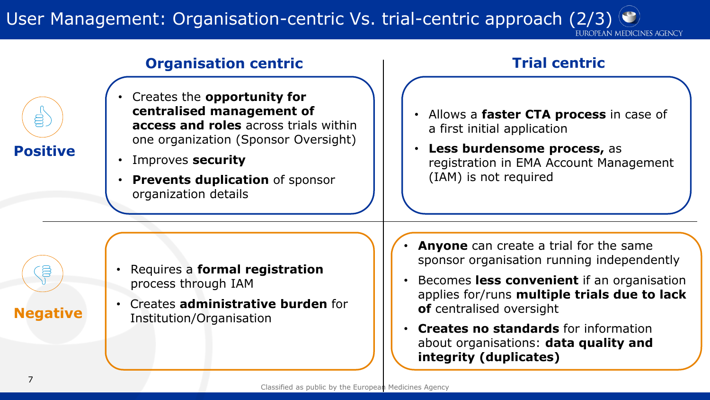## User Management: Organisation-centric Vs. trial-centric approach (2/3)



#### **Organisation centric Trial centric**

- Creates the **opportunity for centralised management of access and roles** across trials within one organization (Sponsor Oversight)
- Improves **security**
- **Prevents duplication** of sponsor organization details

- Requires a **formal registration**  process through IAM
- Creates **administrative burden** for Institution/Organisation

- Allows a **faster CTA process** in case of a first initial application
- **Less burdensome process,** as registration in EMA Account Management (IAM) is not required

- **Anyone** can create a trial for the same sponsor organisation running independently
- Becomes **less convenient** if an organisation applies for/runs **multiple trials due to lack of** centralised oversight
- **Creates no standards** for information about organisations: **data quality and integrity (duplicates)**

**Negative** 

**S**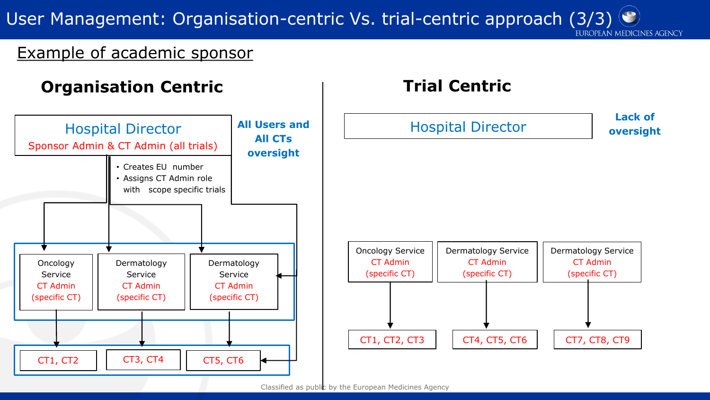User Management: Organisation-centric Vs. trial-centric approach (3/3)

#### Example of academic sponsor



EUROPEAN MEDICINES AGENCY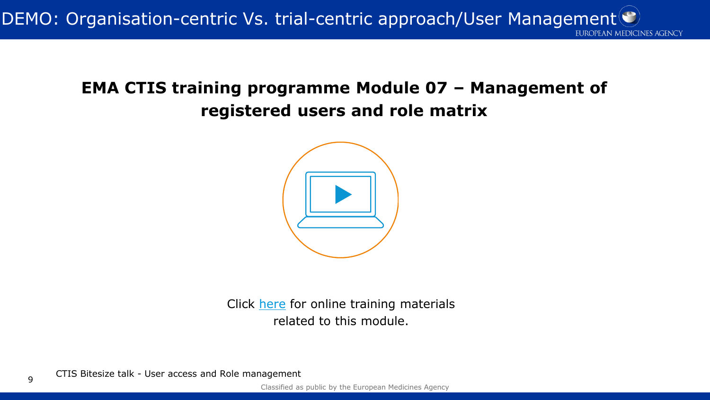DEMO: Organisation-centric Vs. trial-centric approach/User Management<sup>(C)</sup> EUROPEAN MEDICINES AGENCY

## **EMA CTIS training programme Module 07 – Management of registered users and role matrix**



Click [here](https://www.ema.europa.eu/en/human-regulatory/research-development/clinical-trials/clinical-trials-information-system-ctis-online-modular-training-programme) for online training materials related to this module.

CTIS Bitesize talk - User access and Role management <sup>9</sup>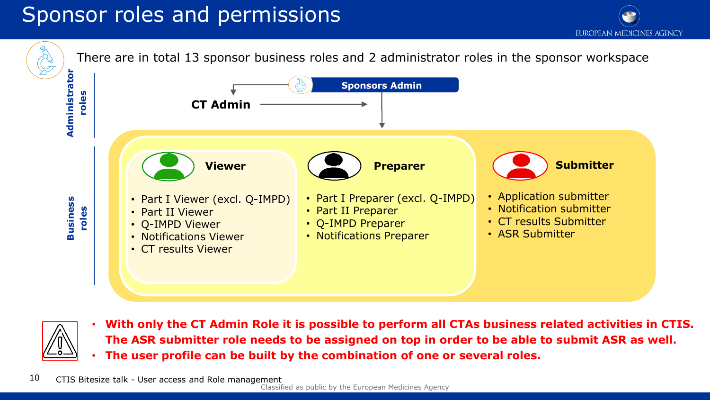# Sponsor roles and permissions

**CT Admin**

• Part I Viewer (excl. Q-IMPD)

• Part II Viewer • Q-IMPD Viewer • Notifications Viewer • CT results Viewer

**EUROPEAN MEDICINES AGENCY** There are in total 13 sponsor business roles and 2 administrator roles in the sponsor workspace **Sponsors Admin Viewer Preparer Preparer Preparer Preparer Preparer Preparer Preparer Prop** 

- Part I Preparer (excl. Q-IMPD)
- Part II Preparer
	- Q-IMPD Preparer
- Notifications Preparer
- Application submitter
- Notification submitter
- CT results Submitter
- ASR Submitter



**Business** 

**Administrator roles** 

Administrator

**roles** 

• **With only the CT Admin Role it is possible to perform all CTAs business related activities in CTIS. The ASR submitter role needs to be assigned on top in order to be able to submit ASR as well.** • **The user profile can be built by the combination of one or several roles.**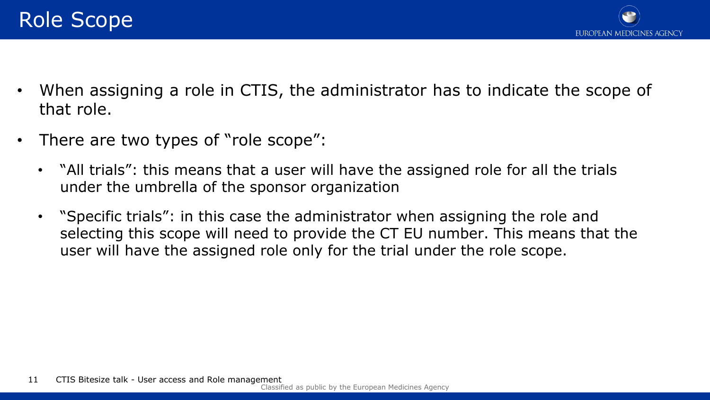

- When assigning a role in CTIS, the administrator has to indicate the scope of that role.
- There are two types of "role scope":
	- "All trials": this means that a user will have the assigned role for all the trials under the umbrella of the sponsor organization
	- "Specific trials": in this case the administrator when assigning the role and selecting this scope will need to provide the CT EU number. This means that the user will have the assigned role only for the trial under the role scope.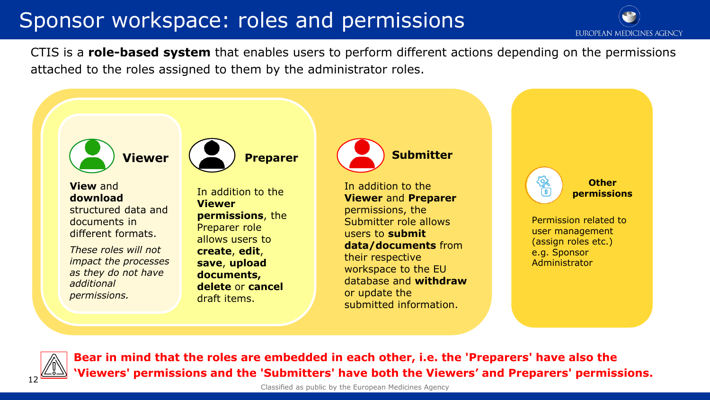## Sponsor workspace: roles and permissions

EUROPEAN MEDICINES AGENCY

CTIS is a **role-based system** that enables users to perform different actions depending on the permissions attached to the roles assigned to them by the administrator roles.





**Bear in mind that the roles are embedded in each other, i.e. the 'Preparers' have also the The Subset Serms (Figure 2015)** The Viewers' and Preparers' permissions.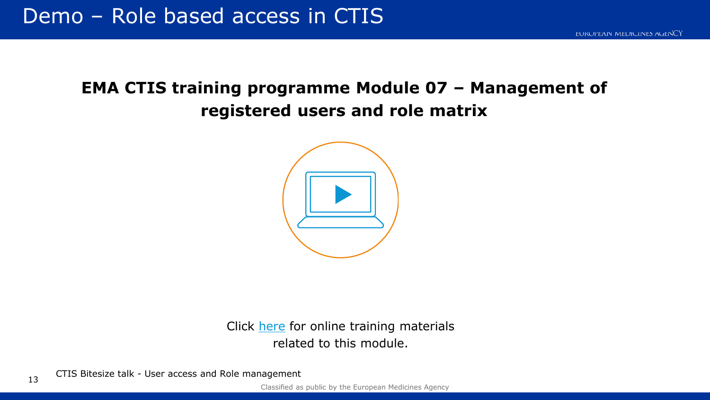## **EMA CTIS training programme Module 07 – Management of registered users and role matrix**



Click [here](https://www.ema.europa.eu/en/human-regulatory/research-development/clinical-trials/clinical-trials-information-system-ctis-online-modular-training-programme) for online training materials related to this module.

13 CTIS Bitesize talk - User access and Role management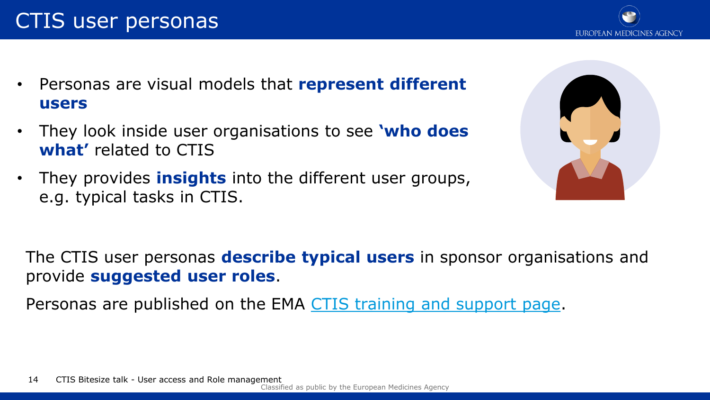CTIS user personas

- Personas are visual models that **represent different users**
- They look inside user organisations to see **'who does what'** related to CTIS
- They provides **insights** into the different user groups, e.g. typical tasks in CTIS.

The CTIS user personas **describe typical users** in sponsor organisations and provide **suggested user roles**.

Personas are published on the EMA [CTIS training and support page.](https://www.ema.europa.eu/en/human-regulatory/research-development/clinical-trials/clinical-trials-information-system-training-support#reference-materials-for-clinical-trial-sponsors-section)



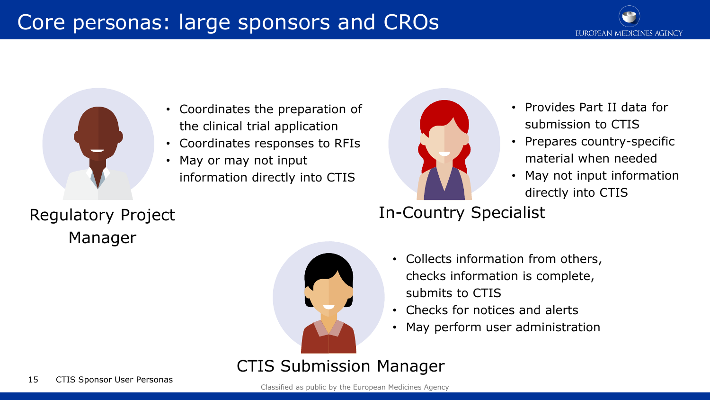## Core personas: large sponsors and CROs



• Coordinates the preparation of the clinical trial application

- Coordinates responses to RFIs
- May or may not input information directly into CTIS



- Provides Part II data for submission to CTIS
- Prepares country-specific material when needed
- May not input information directly into CTIS

Manager

## Regulatory Project **In-Country Specialist**



- Collects information from others, checks information is complete, submits to CTIS
- Checks for notices and alerts
- May perform user administration

CTIS Submission Manager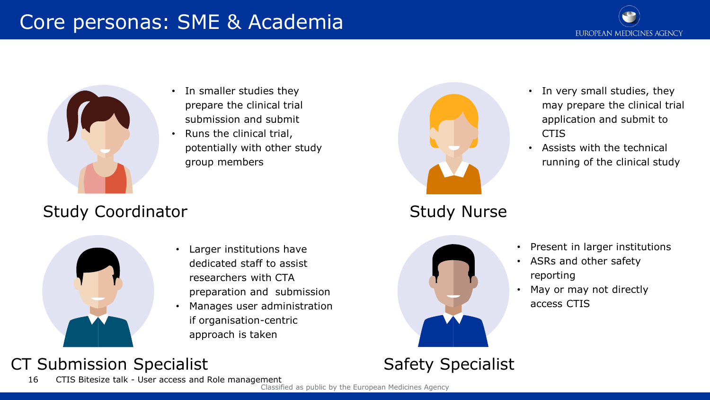## Core personas: SME & Academia





- In smaller studies they prepare the clinical trial submission and submit
- Runs the clinical trial, potentially with other study group members

#### Study Coordinator **Study Nurse** Study Nurse



- Larger institutions have dedicated staff to assist researchers with CTA preparation and submission
- Manages user administration if organisation-centric approach is taken

## CT Submission Specialist

Classified as public by the European Medicines Agency 16 CTIS Bitesize talk - User access and Role management





Safety Specialist

- In very small studies, they may prepare the clinical trial application and submit to **CTIS**
- Assists with the technical running of the clinical study

- Present in larger institutions
- ASRs and other safety reporting
- May or may not directly access CTIS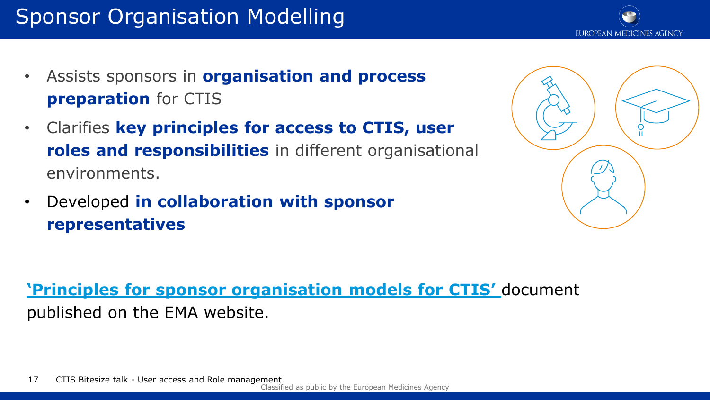## Sponsor Organisation Modelling

- Assists sponsors in **organisation and process preparation** for CTIS
- Clarifies **key principles for access to CTIS, user roles and responsibilities** in different organisational environments.
- Developed **in collaboration with sponsor representatives**

**'[Principles for sponsor organisation](https://www.ema.europa.eu/en/human-regulatory/research-development/clinical-trials/clinical-trials-information-system-training-support#reference-materials-for-clinical-trial-sponsors-section) models for CTIS'** document published on the EMA website.



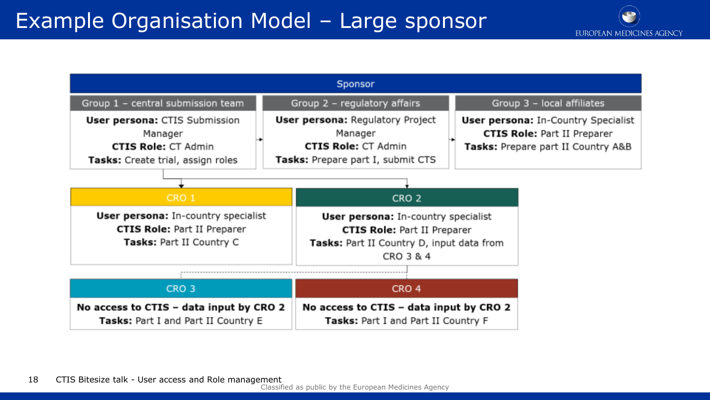## Example Organisation Model – Large sponsor

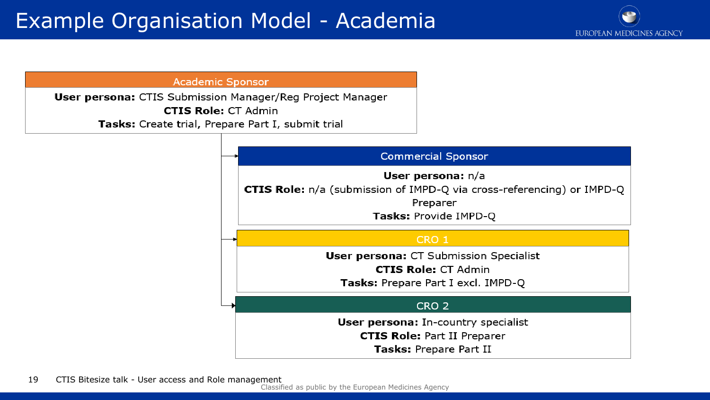

**Academic Sponsor** 

User persona: CTIS Submission Manager/Reg Project Manager **CTIS Role: CT Admin** Tasks: Create trial, Prepare Part I, submit trial